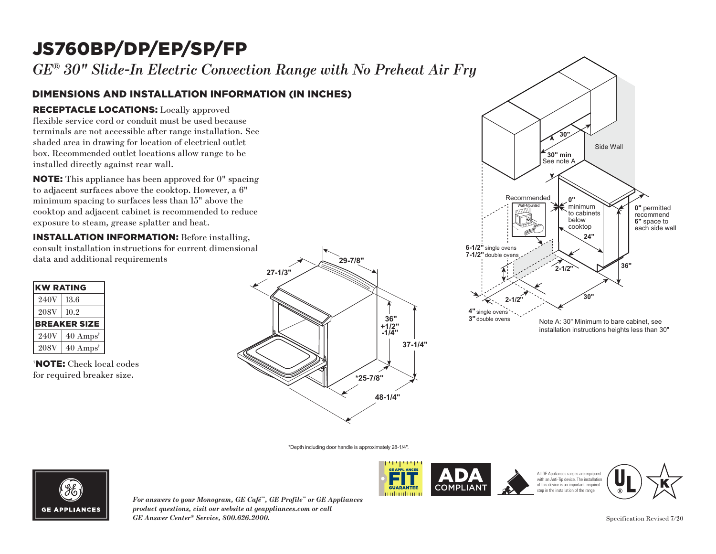# JS760BP/DP/EP/SP/FP

*GE® 30" Slide-In Electric Convection Range with No Preheat Air Fry*

### DIMENSIONS AND INSTALLATION INFORMATION (IN INCHES)

### RECEPTACLE LOCATIONS: Locally approved

flexible service cord or conduit must be used because terminals are not accessible after range installation. See **30"** shaded area in drawing for location of electrical outlet box. Recommended outlet locations allow range to be installed directly against rear wall. must be used becauter range installation<br>tion of electrical out<br>tions allow range to<br>wall.<br>n approved for 0" sp<br>cooktop. However, a

**NOTE:** This appliance has been approved for 0" spacing to adjacent surfaces above the cooktop. However, a 6"  $\min$  spacing to surfaces less than  $15"$  above the minimum spacing to sarraces ress than 15 associate exposure to steam, grease splatter and heat. ase sp Recommended

**INSTALLATION INFORMATION:** Before installing, consult installation instructions for current dimensional **7-1/2"** double ovens

| <b>KW RATING</b> |                             |
|------------------|-----------------------------|
| 240V             | 13.6                        |
| <b>208V</b>      | 10.2                        |
|                  | <b>BREAKER SIZE</b>         |
| 240V             | $40 \text{ Amps}^{\dagger}$ |
| <b>208V</b>      | $40 \text{ Amps}^{\dagger}$ |

† NOTE: Check local codes for required breaker size.





\*Depth including door handle is approximately 28-1/4".



*For answers to your Monogram, GE Café™, GE Profile™ or GE Appliances product questions, visit our website at geappliances.com or call GE Answer Center® Service, 800.626.2000.* Specification Revised 7/20